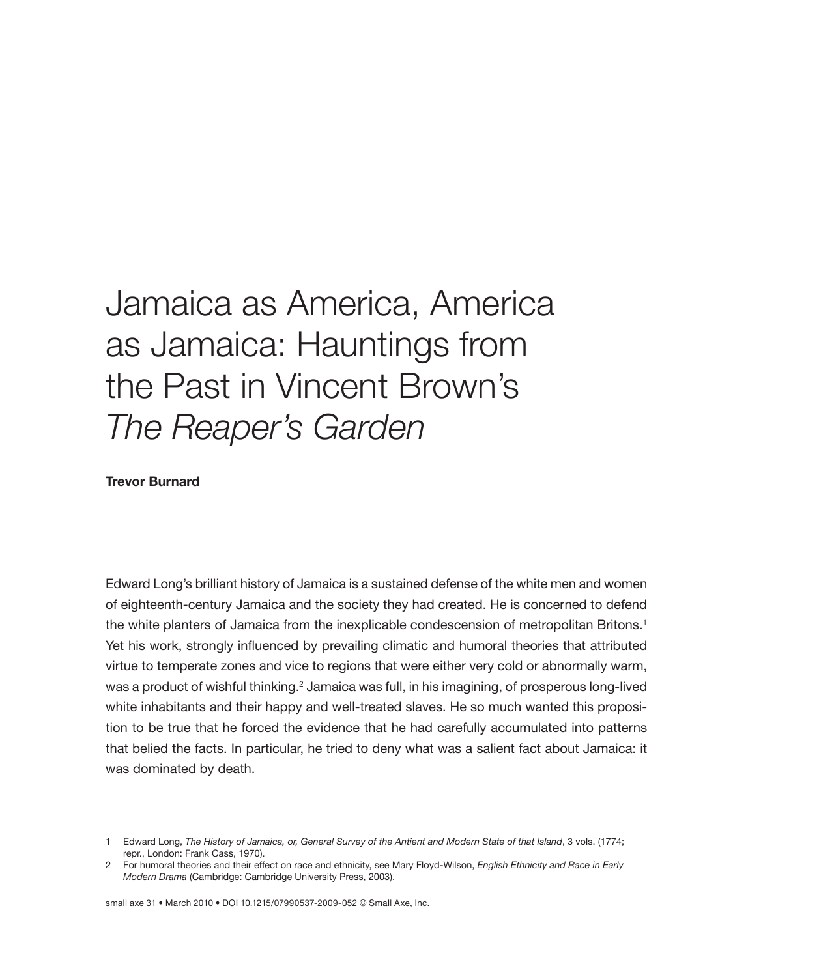## Jamaica as America, America as Jamaica: Hauntings from the Past in Vincent Brown's *The Reaper's Garden*

**Trevor Burnard**

Edward Long's brilliant history of Jamaica is a sustained defense of the white men and women of eighteenth-century Jamaica and the society they had created. He is concerned to defend the white planters of Jamaica from the inexplicable condescension of metropolitan Britons.<sup>1</sup> Yet his work, strongly influenced by prevailing climatic and humoral theories that attributed virtue to temperate zones and vice to regions that were either very cold or abnormally warm, was a product of wishful thinking.<sup>2</sup> Jamaica was full, in his imagining, of prosperous long-lived white inhabitants and their happy and well-treated slaves. He so much wanted this proposition to be true that he forced the evidence that he had carefully accumulated into patterns that belied the facts. In particular, he tried to deny what was a salient fact about Jamaica: it was dominated by death.

small axe 31 • March 2010 • DOI 10.1215/07990537-2009-052 © Small Axe, Inc.

<sup>1</sup> Edward Long, *The History of Jamaica, or, General Survey of the Antient and Modern State of that Island*, 3 vols. (1774; repr., London: Frank Cass, 1970).

<sup>2</sup> For humoral theories and their effect on race and ethnicity, see Mary Floyd-Wilson, *English Ethnicity and Race in Early Modern Drama* (Cambridge: Cambridge University Press, 2003).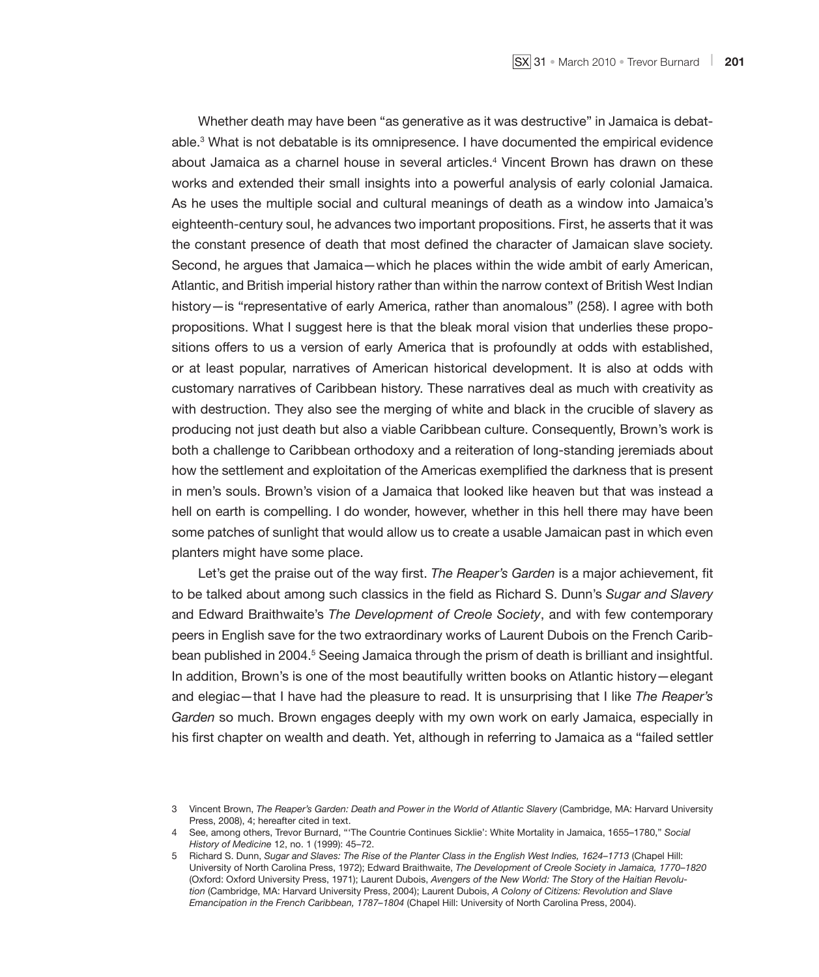Whether death may have been "as generative as it was destructive" in Jamaica is debatable.<sup>3</sup> What is not debatable is its omnipresence. I have documented the empirical evidence about Jamaica as a charnel house in several articles.4 Vincent Brown has drawn on these works and extended their small insights into a powerful analysis of early colonial Jamaica. As he uses the multiple social and cultural meanings of death as a window into Jamaica's eighteenth-century soul, he advances two important propositions. First, he asserts that it was the constant presence of death that most defined the character of Jamaican slave society. Second, he argues that Jamaica—which he places within the wide ambit of early American, Atlantic, and British imperial history rather than within the narrow context of British West Indian history—is "representative of early America, rather than anomalous" (258). I agree with both propositions. What I suggest here is that the bleak moral vision that underlies these propositions offers to us a version of early America that is profoundly at odds with established, or at least popular, narratives of American historical development. It is also at odds with customary narratives of Caribbean history. These narratives deal as much with creativity as with destruction. They also see the merging of white and black in the crucible of slavery as producing not just death but also a viable Caribbean culture. Consequently, Brown's work is both a challenge to Caribbean orthodoxy and a reiteration of long-standing jeremiads about how the settlement and exploitation of the Americas exemplified the darkness that is present in men's souls. Brown's vision of a Jamaica that looked like heaven but that was instead a hell on earth is compelling. I do wonder, however, whether in this hell there may have been some patches of sunlight that would allow us to create a usable Jamaican past in which even planters might have some place.

Let's get the praise out of the way first. *The Reaper's Garden* is a major achievement, fit to be talked about among such classics in the field as Richard S. Dunn's *Sugar and Slavery* and Edward Braithwaite's *The Development of Creole Society*, and with few contemporary peers in English save for the two extraordinary works of Laurent Dubois on the French Caribbean published in 2004.<sup>5</sup> Seeing Jamaica through the prism of death is brilliant and insightful. In addition, Brown's is one of the most beautifully written books on Atlantic history—elegant and elegiac—that I have had the pleasure to read. It is unsurprising that I like *The Reaper's Garden* so much. Brown engages deeply with my own work on early Jamaica, especially in his first chapter on wealth and death. Yet, although in referring to Jamaica as a "failed settler

<sup>3</sup> Vincent Brown, *The Reaper's Garden: Death and Power in the World of Atlantic Slavery* (Cambridge, MA: Harvard University Press, 2008), 4; hereafter cited in text.

<sup>4</sup> See, among others, Trevor Burnard, "'The Countrie Continues Sicklie': White Mortality in Jamaica, 1655–1780," *Social History of Medicine* 12, no. 1 (1999): 45–72.

<sup>5</sup> Richard S. Dunn, *Sugar and Slaves: The Rise of the Planter Class in the English West Indies, 1624–1713* (Chapel Hill: University of North Carolina Press, 1972); Edward Braithwaite, *The Development of Creole Society in Jamaica, 1770–1820* (Oxford: Oxford University Press, 1971); Laurent Dubois, *Avengers of the New World: The Story of the Haitian Revolution* (Cambridge, MA: Harvard University Press, 2004); Laurent Dubois, *A Colony of Citizens: Revolution and Slave Emancipation in the French Caribbean, 1787–1804* (Chapel Hill: University of North Carolina Press, 2004).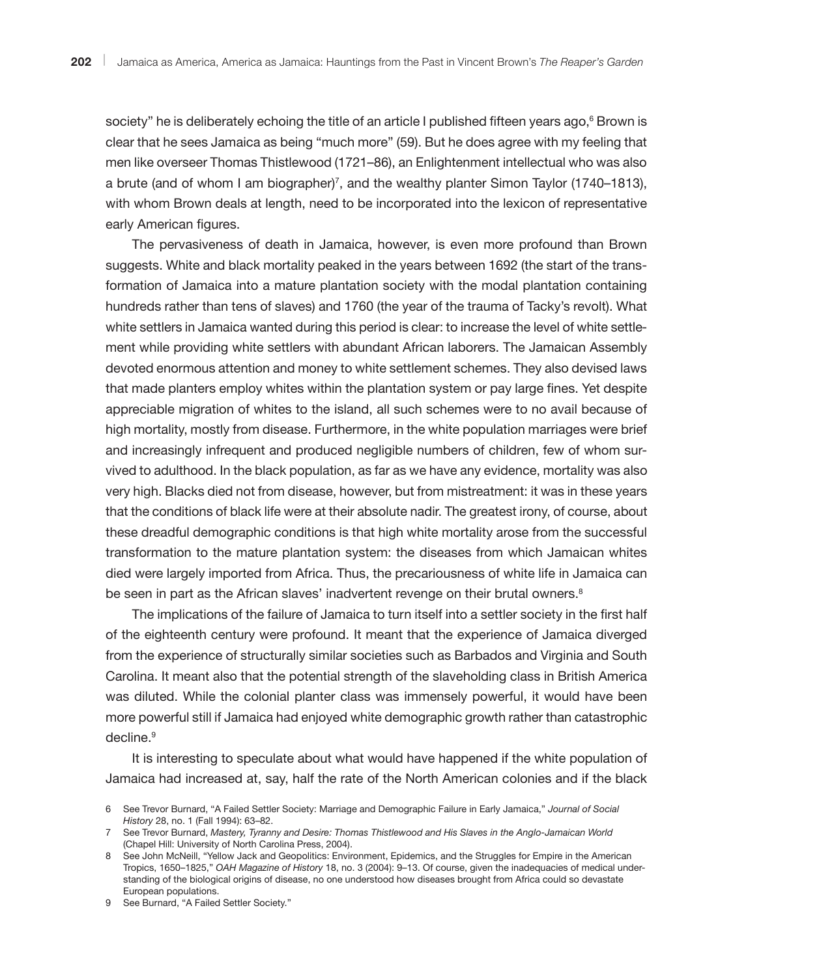society" he is deliberately echoing the title of an article I published fifteen years ago, $^6$  Brown is clear that he sees Jamaica as being "much more" (59). But he does agree with my feeling that men like overseer Thomas Thistlewood (1721–86), an Enlightenment intellectual who was also a brute (and of whom I am biographer)7 , and the wealthy planter Simon Taylor (1740–1813), with whom Brown deals at length, need to be incorporated into the lexicon of representative early American figures.

The pervasiveness of death in Jamaica, however, is even more profound than Brown suggests. White and black mortality peaked in the years between 1692 (the start of the transformation of Jamaica into a mature plantation society with the modal plantation containing hundreds rather than tens of slaves) and 1760 (the year of the trauma of Tacky's revolt). What white settlers in Jamaica wanted during this period is clear: to increase the level of white settlement while providing white settlers with abundant African laborers. The Jamaican Assembly devoted enormous attention and money to white settlement schemes. They also devised laws that made planters employ whites within the plantation system or pay large fines. Yet despite appreciable migration of whites to the island, all such schemes were to no avail because of high mortality, mostly from disease. Furthermore, in the white population marriages were brief and increasingly infrequent and produced negligible numbers of children, few of whom survived to adulthood. In the black population, as far as we have any evidence, mortality was also very high. Blacks died not from disease, however, but from mistreatment: it was in these years that the conditions of black life were at their absolute nadir. The greatest irony, of course, about these dreadful demographic conditions is that high white mortality arose from the successful transformation to the mature plantation system: the diseases from which Jamaican whites died were largely imported from Africa. Thus, the precariousness of white life in Jamaica can be seen in part as the African slaves' inadvertent revenge on their brutal owners.<sup>8</sup>

The implications of the failure of Jamaica to turn itself into a settler society in the first half of the eighteenth century were profound. It meant that the experience of Jamaica diverged from the experience of structurally similar societies such as Barbados and Virginia and South Carolina. It meant also that the potential strength of the slaveholding class in British America was diluted. While the colonial planter class was immensely powerful, it would have been more powerful still if Jamaica had enjoyed white demographic growth rather than catastrophic decline.<sup>9</sup>

It is interesting to speculate about what would have happened if the white population of Jamaica had increased at, say, half the rate of the North American colonies and if the black

9 See Burnard, "A Failed Settler Society."

<sup>6</sup> See Trevor Burnard, "A Failed Settler Society: Marriage and Demographic Failure in Early Jamaica," *Journal of Social History* 28, no. 1 (Fall 1994): 63–82.

<sup>7</sup> See Trevor Burnard, *Mastery, Tyranny and Desire: Thomas Thistlewood and His Slaves in the Anglo-Jamaican World* (Chapel Hill: University of North Carolina Press, 2004).

<sup>8</sup> See John McNeill, "Yellow Jack and Geopolitics: Environment, Epidemics, and the Struggles for Empire in the American Tropics, 1650–1825," *OAH Magazine of History* 18, no. 3 (2004): 9–13. Of course, given the inadequacies of medical understanding of the biological origins of disease, no one understood how diseases brought from Africa could so devastate European populations.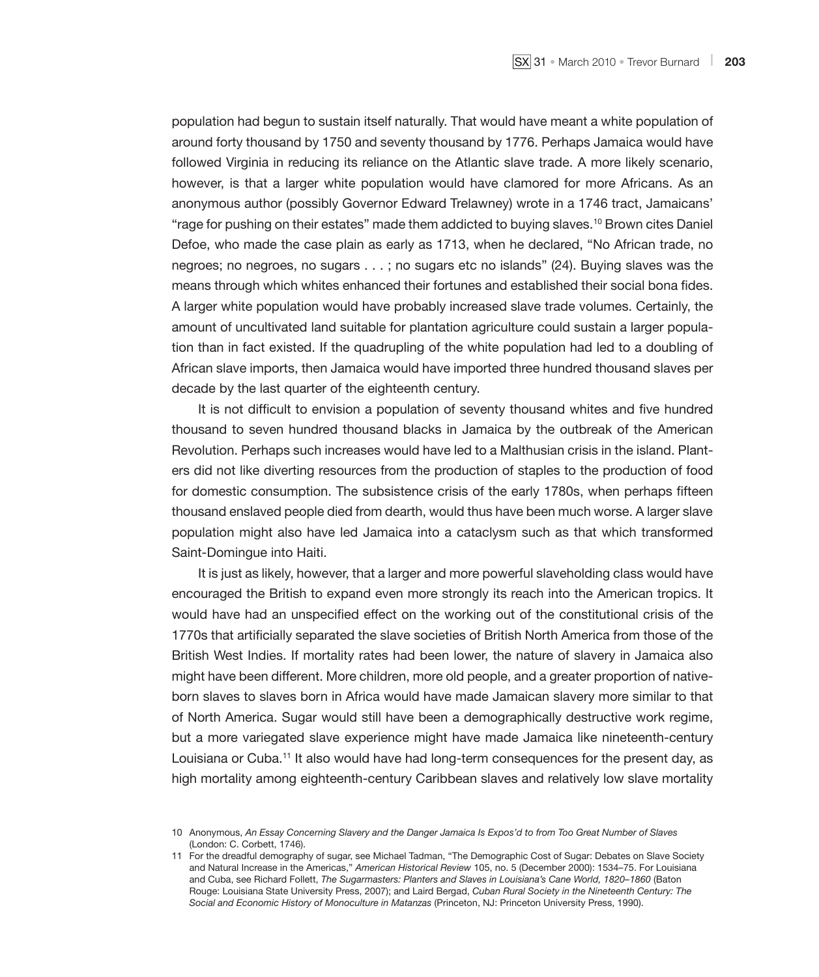population had begun to sustain itself naturally. That would have meant a white population of around forty thousand by 1750 and seventy thousand by 1776. Perhaps Jamaica would have followed Virginia in reducing its reliance on the Atlantic slave trade. A more likely scenario, however, is that a larger white population would have clamored for more Africans. As an anonymous author (possibly Governor Edward Trelawney) wrote in a 1746 tract, Jamaicans' "rage for pushing on their estates" made them addicted to buying slaves.10 Brown cites Daniel Defoe, who made the case plain as early as 1713, when he declared, "No African trade, no negroes; no negroes, no sugars . . . ; no sugars etc no islands" (24). Buying slaves was the means through which whites enhanced their fortunes and established their social bona fides. A larger white population would have probably increased slave trade volumes. Certainly, the amount of uncultivated land suitable for plantation agriculture could sustain a larger population than in fact existed. If the quadrupling of the white population had led to a doubling of African slave imports, then Jamaica would have imported three hundred thousand slaves per decade by the last quarter of the eighteenth century.

It is not difficult to envision a population of seventy thousand whites and five hundred thousand to seven hundred thousand blacks in Jamaica by the outbreak of the American Revolution. Perhaps such increases would have led to a Malthusian crisis in the island. Planters did not like diverting resources from the production of staples to the production of food for domestic consumption. The subsistence crisis of the early 1780s, when perhaps fifteen thousand enslaved people died from dearth, would thus have been much worse. A larger slave population might also have led Jamaica into a cataclysm such as that which transformed Saint-Domingue into Haiti.

It is just as likely, however, that a larger and more powerful slaveholding class would have encouraged the British to expand even more strongly its reach into the American tropics. It would have had an unspecified effect on the working out of the constitutional crisis of the 1770s that artificially separated the slave societies of British North America from those of the British West Indies. If mortality rates had been lower, the nature of slavery in Jamaica also might have been different. More children, more old people, and a greater proportion of nativeborn slaves to slaves born in Africa would have made Jamaican slavery more similar to that of North America. Sugar would still have been a demographically destructive work regime, but a more variegated slave experience might have made Jamaica like nineteenth-century Louisiana or Cuba.<sup>11</sup> It also would have had long-term consequences for the present day, as high mortality among eighteenth-century Caribbean slaves and relatively low slave mortality

<sup>10</sup> Anonymous, *An Essay Concerning Slavery and the Danger Jamaica Is Expos'd to from Too Great Number of Slaves*  (London: C. Corbett, 1746).

<sup>11</sup> For the dreadful demography of sugar, see Michael Tadman, "The Demographic Cost of Sugar: Debates on Slave Society and Natural Increase in the Americas," *American Historical Review* 105, no. 5 (December 2000): 1534–75. For Louisiana and Cuba, see Richard Follett, *The Sugarmasters: Planters and Slaves in Louisiana's Cane World, 1820–1860* (Baton Rouge: Louisiana State University Press, 2007); and Laird Bergad, *Cuban Rural Society in the Nineteenth Century: The Social and Economic History of Monoculture in Matanzas* (Princeton, NJ: Princeton University Press, 1990).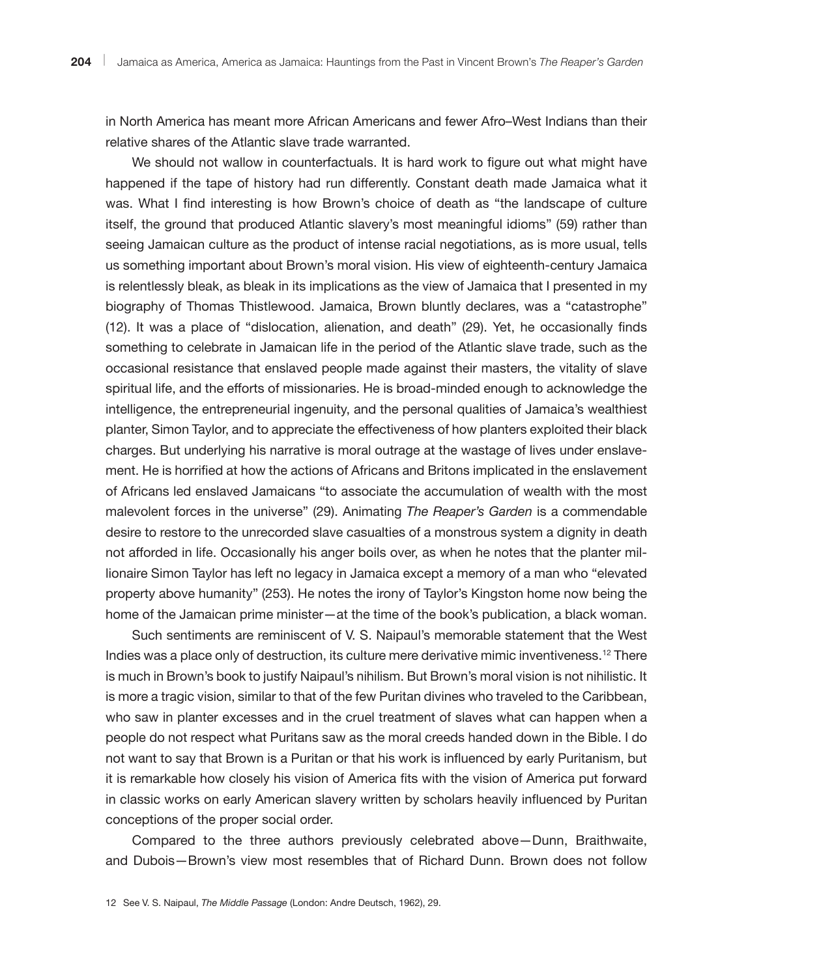in North America has meant more African Americans and fewer Afro–West Indians than their relative shares of the Atlantic slave trade warranted.

We should not wallow in counterfactuals. It is hard work to figure out what might have happened if the tape of history had run differently. Constant death made Jamaica what it was. What I find interesting is how Brown's choice of death as "the landscape of culture itself, the ground that produced Atlantic slavery's most meaningful idioms" (59) rather than seeing Jamaican culture as the product of intense racial negotiations, as is more usual, tells us something important about Brown's moral vision. His view of eighteenth-century Jamaica is relentlessly bleak, as bleak in its implications as the view of Jamaica that I presented in my biography of Thomas Thistlewood. Jamaica, Brown bluntly declares, was a "catastrophe" (12). It was a place of "dislocation, alienation, and death" (29). Yet, he occasionally finds something to celebrate in Jamaican life in the period of the Atlantic slave trade, such as the occasional resistance that enslaved people made against their masters, the vitality of slave spiritual life, and the efforts of missionaries. He is broad-minded enough to acknowledge the intelligence, the entrepreneurial ingenuity, and the personal qualities of Jamaica's wealthiest planter, Simon Taylor, and to appreciate the effectiveness of how planters exploited their black charges. But underlying his narrative is moral outrage at the wastage of lives under enslavement. He is horrified at how the actions of Africans and Britons implicated in the enslavement of Africans led enslaved Jamaicans "to associate the accumulation of wealth with the most malevolent forces in the universe" (29). Animating *The Reaper's Garden* is a commendable desire to restore to the unrecorded slave casualties of a monstrous system a dignity in death not afforded in life. Occasionally his anger boils over, as when he notes that the planter millionaire Simon Taylor has left no legacy in Jamaica except a memory of a man who "elevated property above humanity" (253). He notes the irony of Taylor's Kingston home now being the home of the Jamaican prime minister—at the time of the book's publication, a black woman.

Such sentiments are reminiscent of V. S. Naipaul's memorable statement that the West Indies was a place only of destruction, its culture mere derivative mimic inventiveness.<sup>12</sup> There is much in Brown's book to justify Naipaul's nihilism. But Brown's moral vision is not nihilistic. It is more a tragic vision, similar to that of the few Puritan divines who traveled to the Caribbean, who saw in planter excesses and in the cruel treatment of slaves what can happen when a people do not respect what Puritans saw as the moral creeds handed down in the Bible. I do not want to say that Brown is a Puritan or that his work is influenced by early Puritanism, but it is remarkable how closely his vision of America fits with the vision of America put forward in classic works on early American slavery written by scholars heavily influenced by Puritan conceptions of the proper social order.

Compared to the three authors previously celebrated above—Dunn, Braithwaite, and Dubois—Brown's view most resembles that of Richard Dunn. Brown does not follow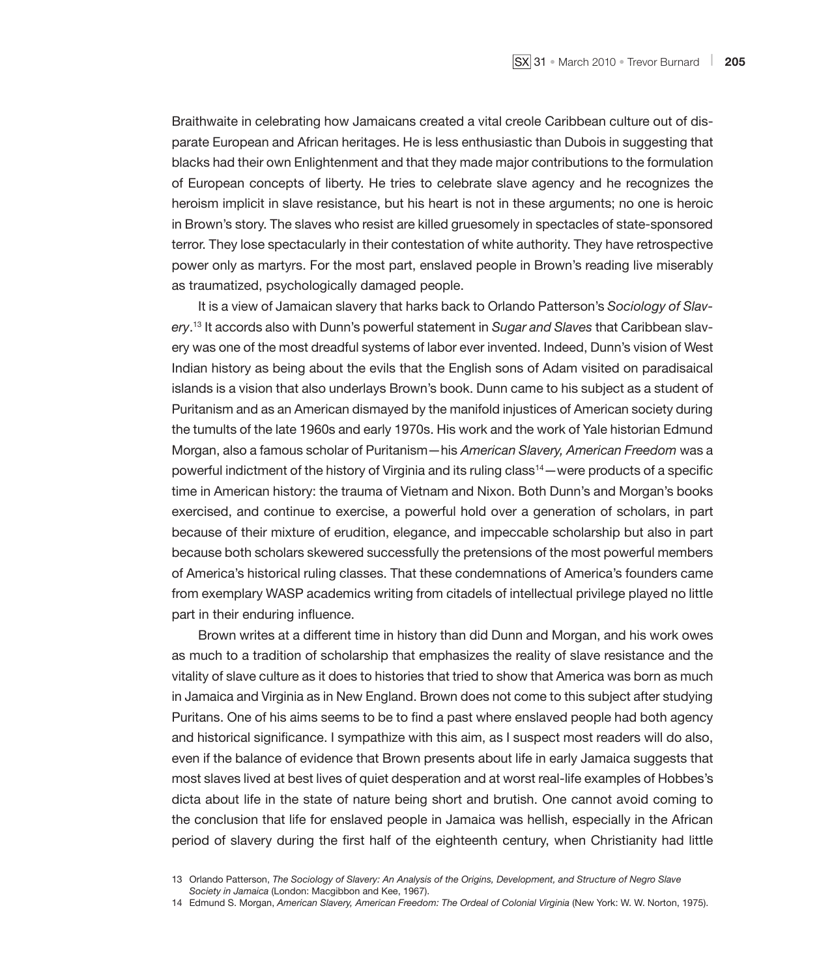Braithwaite in celebrating how Jamaicans created a vital creole Caribbean culture out of disparate European and African heritages. He is less enthusiastic than Dubois in suggesting that blacks had their own Enlightenment and that they made major contributions to the formulation of European concepts of liberty. He tries to celebrate slave agency and he recognizes the heroism implicit in slave resistance, but his heart is not in these arguments; no one is heroic in Brown's story. The slaves who resist are killed gruesomely in spectacles of state-sponsored terror. They lose spectacularly in their contestation of white authority. They have retrospective power only as martyrs. For the most part, enslaved people in Brown's reading live miserably as traumatized, psychologically damaged people.

It is a view of Jamaican slavery that harks back to Orlando Patterson's *Sociology of Slavery*. 13 It accords also with Dunn's powerful statement in *Sugar and Slaves* that Caribbean slavery was one of the most dreadful systems of labor ever invented. Indeed, Dunn's vision of West Indian history as being about the evils that the English sons of Adam visited on paradisaical islands is a vision that also underlays Brown's book. Dunn came to his subject as a student of Puritanism and as an American dismayed by the manifold injustices of American society during the tumults of the late 1960s and early 1970s. His work and the work of Yale historian Edmund Morgan, also a famous scholar of Puritanism—his *American Slavery, American Freedom* was a powerful indictment of the history of Virginia and its ruling class $14$ —were products of a specific time in American history: the trauma of Vietnam and Nixon. Both Dunn's and Morgan's books exercised, and continue to exercise, a powerful hold over a generation of scholars, in part because of their mixture of erudition, elegance, and impeccable scholarship but also in part because both scholars skewered successfully the pretensions of the most powerful members of America's historical ruling classes. That these condemnations of America's founders came from exemplary WASP academics writing from citadels of intellectual privilege played no little part in their enduring influence.

Brown writes at a different time in history than did Dunn and Morgan, and his work owes as much to a tradition of scholarship that emphasizes the reality of slave resistance and the vitality of slave culture as it does to histories that tried to show that America was born as much in Jamaica and Virginia as in New England. Brown does not come to this subject after studying Puritans. One of his aims seems to be to find a past where enslaved people had both agency and historical significance. I sympathize with this aim, as I suspect most readers will do also, even if the balance of evidence that Brown presents about life in early Jamaica suggests that most slaves lived at best lives of quiet desperation and at worst real-life examples of Hobbes's dicta about life in the state of nature being short and brutish. One cannot avoid coming to the conclusion that life for enslaved people in Jamaica was hellish, especially in the African period of slavery during the first half of the eighteenth century, when Christianity had little

<sup>13</sup> Orlando Patterson, *The Sociology of Slavery: An Analysis of the Origins, Development, and Structure of Negro Slave Society in Jamaica* (London: Macgibbon and Kee, 1967).

<sup>14</sup> Edmund S. Morgan, *American Slavery, American Freedom: The Ordeal of Colonial Virginia* (New York: W. W. Norton, 1975).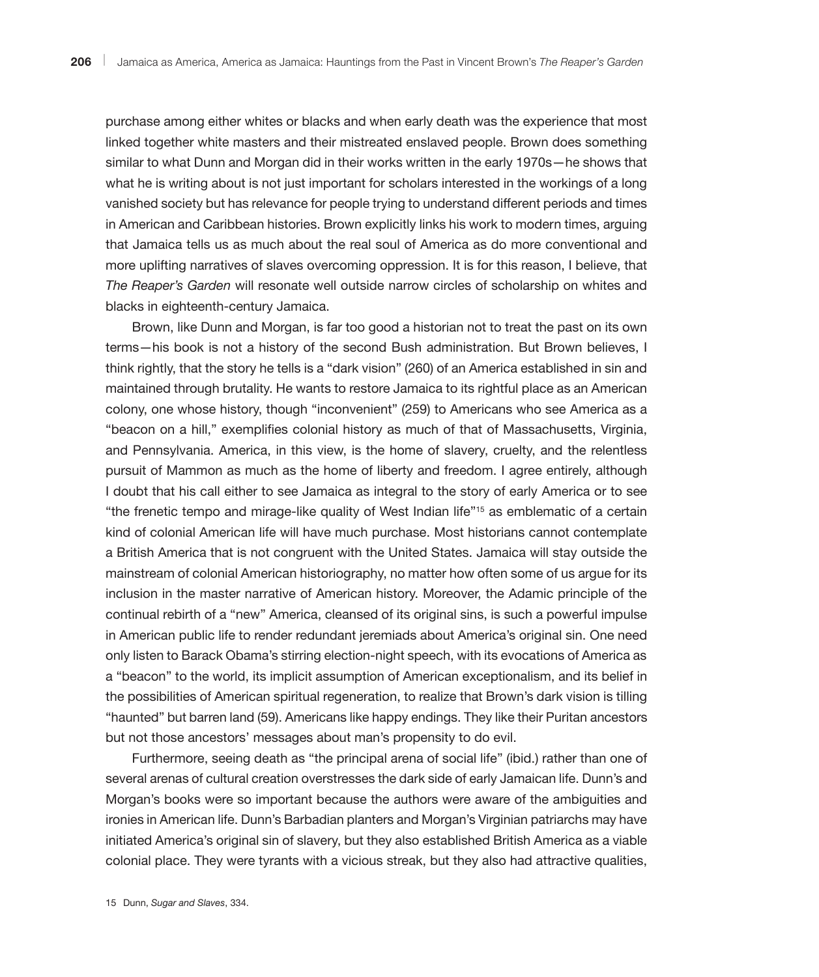purchase among either whites or blacks and when early death was the experience that most linked together white masters and their mistreated enslaved people. Brown does something similar to what Dunn and Morgan did in their works written in the early 1970s—he shows that what he is writing about is not just important for scholars interested in the workings of a long vanished society but has relevance for people trying to understand different periods and times in American and Caribbean histories. Brown explicitly links his work to modern times, arguing that Jamaica tells us as much about the real soul of America as do more conventional and more uplifting narratives of slaves overcoming oppression. It is for this reason, I believe, that *The Reaper's Garden* will resonate well outside narrow circles of scholarship on whites and blacks in eighteenth-century Jamaica.

Brown, like Dunn and Morgan, is far too good a historian not to treat the past on its own terms—his book is not a history of the second Bush administration. But Brown believes, I think rightly, that the story he tells is a "dark vision" (260) of an America established in sin and maintained through brutality. He wants to restore Jamaica to its rightful place as an American colony, one whose history, though "inconvenient" (259) to Americans who see America as a "beacon on a hill," exemplifies colonial history as much of that of Massachusetts, Virginia, and Pennsylvania. America, in this view, is the home of slavery, cruelty, and the relentless pursuit of Mammon as much as the home of liberty and freedom. I agree entirely, although I doubt that his call either to see Jamaica as integral to the story of early America or to see "the frenetic tempo and mirage-like quality of West Indian life"15 as emblematic of a certain kind of colonial American life will have much purchase. Most historians cannot contemplate a British America that is not congruent with the United States. Jamaica will stay outside the mainstream of colonial American historiography, no matter how often some of us argue for its inclusion in the master narrative of American history. Moreover, the Adamic principle of the continual rebirth of a "new" America, cleansed of its original sins, is such a powerful impulse in American public life to render redundant jeremiads about America's original sin. One need only listen to Barack Obama's stirring election-night speech, with its evocations of America as a "beacon" to the world, its implicit assumption of American exceptionalism, and its belief in the possibilities of American spiritual regeneration, to realize that Brown's dark vision is tilling "haunted" but barren land (59). Americans like happy endings. They like their Puritan ancestors but not those ancestors' messages about man's propensity to do evil.

Furthermore, seeing death as "the principal arena of social life" (ibid.) rather than one of several arenas of cultural creation overstresses the dark side of early Jamaican life. Dunn's and Morgan's books were so important because the authors were aware of the ambiguities and ironies in American life. Dunn's Barbadian planters and Morgan's Virginian patriarchs may have initiated America's original sin of slavery, but they also established British America as a viable colonial place. They were tyrants with a vicious streak, but they also had attractive qualities,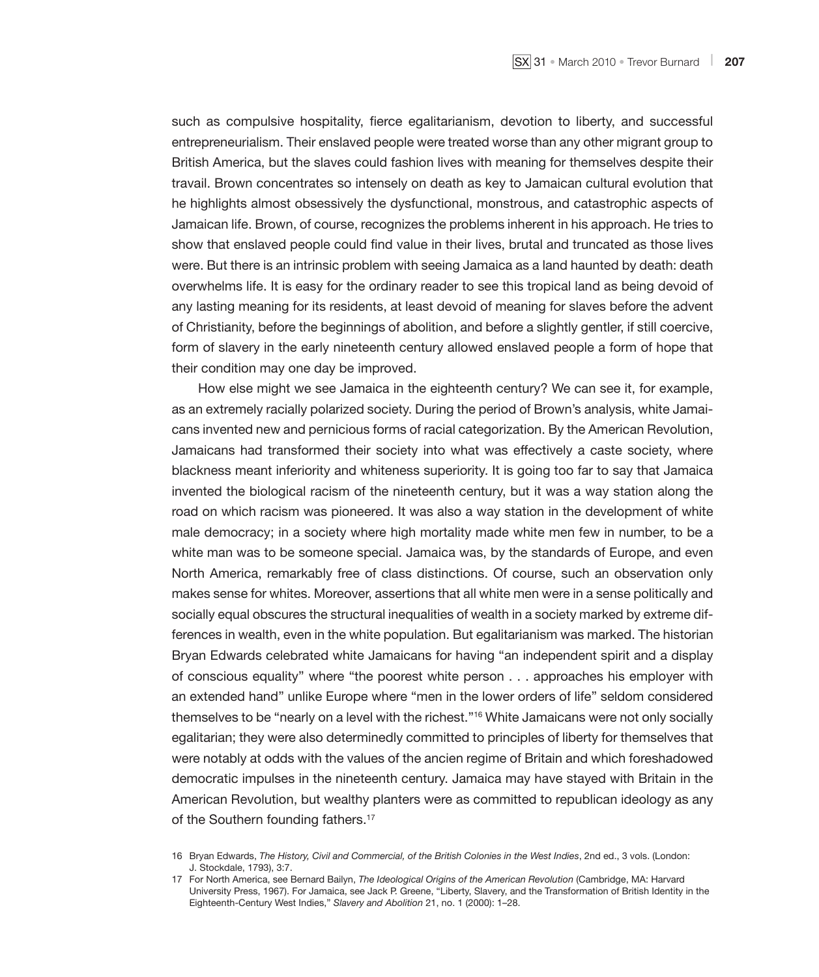such as compulsive hospitality, fierce egalitarianism, devotion to liberty, and successful entrepreneurialism. Their enslaved people were treated worse than any other migrant group to British America, but the slaves could fashion lives with meaning for themselves despite their travail. Brown concentrates so intensely on death as key to Jamaican cultural evolution that he highlights almost obsessively the dysfunctional, monstrous, and catastrophic aspects of Jamaican life. Brown, of course, recognizes the problems inherent in his approach. He tries to show that enslaved people could find value in their lives, brutal and truncated as those lives were. But there is an intrinsic problem with seeing Jamaica as a land haunted by death: death overwhelms life. It is easy for the ordinary reader to see this tropical land as being devoid of any lasting meaning for its residents, at least devoid of meaning for slaves before the advent of Christianity, before the beginnings of abolition, and before a slightly gentler, if still coercive, form of slavery in the early nineteenth century allowed enslaved people a form of hope that their condition may one day be improved.

How else might we see Jamaica in the eighteenth century? We can see it, for example, as an extremely racially polarized society. During the period of Brown's analysis, white Jamaicans invented new and pernicious forms of racial categorization. By the American Revolution, Jamaicans had transformed their society into what was effectively a caste society, where blackness meant inferiority and whiteness superiority. It is going too far to say that Jamaica invented the biological racism of the nineteenth century, but it was a way station along the road on which racism was pioneered. It was also a way station in the development of white male democracy; in a society where high mortality made white men few in number, to be a white man was to be someone special. Jamaica was, by the standards of Europe, and even North America, remarkably free of class distinctions. Of course, such an observation only makes sense for whites. Moreover, assertions that all white men were in a sense politically and socially equal obscures the structural inequalities of wealth in a society marked by extreme differences in wealth, even in the white population. But egalitarianism was marked. The historian Bryan Edwards celebrated white Jamaicans for having "an independent spirit and a display of conscious equality" where "the poorest white person . . . approaches his employer with an extended hand" unlike Europe where "men in the lower orders of life" seldom considered themselves to be "nearly on a level with the richest."<sup>16</sup> White Jamaicans were not only socially egalitarian; they were also determinedly committed to principles of liberty for themselves that were notably at odds with the values of the ancien regime of Britain and which foreshadowed democratic impulses in the nineteenth century. Jamaica may have stayed with Britain in the American Revolution, but wealthy planters were as committed to republican ideology as any of the Southern founding fathers.<sup>17</sup>

<sup>16</sup> Bryan Edwards, *The History, Civil and Commercial, of the British Colonies in the West Indies*, 2nd ed., 3 vols. (London: J. Stockdale, 1793), 3:7.

<sup>17</sup> For North America, see Bernard Bailyn, *The Ideological Origins of the American Revolution* (Cambridge, MA: Harvard University Press, 1967). For Jamaica, see Jack P. Greene, "Liberty, Slavery, and the Transformation of British Identity in the Eighteenth-Century West Indies," *Slavery and Abolition* 21, no. 1 (2000): 1–28.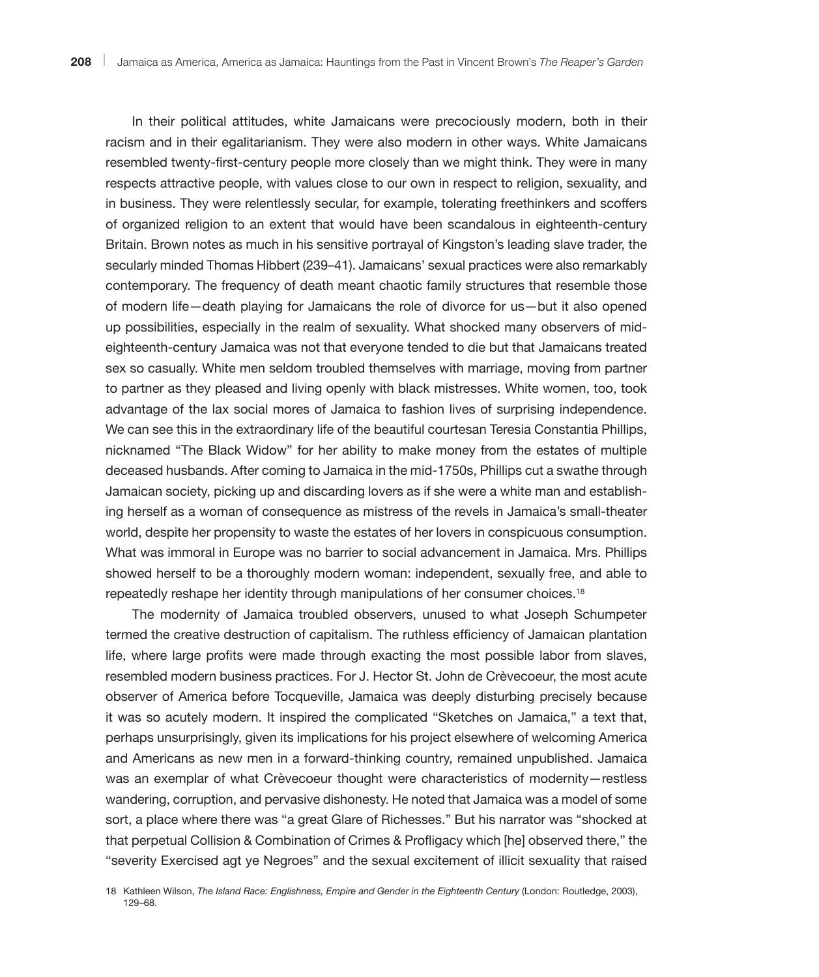In their political attitudes, white Jamaicans were precociously modern, both in their racism and in their egalitarianism. They were also modern in other ways. White Jamaicans resembled twenty-first-century people more closely than we might think. They were in many respects attractive people, with values close to our own in respect to religion, sexuality, and in business. They were relentlessly secular, for example, tolerating freethinkers and scoffers of organized religion to an extent that would have been scandalous in eighteenth-century Britain. Brown notes as much in his sensitive portrayal of Kingston's leading slave trader, the secularly minded Thomas Hibbert (239–41). Jamaicans' sexual practices were also remarkably contemporary. The frequency of death meant chaotic family structures that resemble those of modern life—death playing for Jamaicans the role of divorce for us—but it also opened up possibilities, especially in the realm of sexuality. What shocked many observers of mideighteenth-century Jamaica was not that everyone tended to die but that Jamaicans treated sex so casually. White men seldom troubled themselves with marriage, moving from partner to partner as they pleased and living openly with black mistresses. White women, too, took advantage of the lax social mores of Jamaica to fashion lives of surprising independence. We can see this in the extraordinary life of the beautiful courtesan Teresia Constantia Phillips, nicknamed "The Black Widow" for her ability to make money from the estates of multiple deceased husbands. After coming to Jamaica in the mid-1750s, Phillips cut a swathe through Jamaican society, picking up and discarding lovers as if she were a white man and establishing herself as a woman of consequence as mistress of the revels in Jamaica's small-theater world, despite her propensity to waste the estates of her lovers in conspicuous consumption. What was immoral in Europe was no barrier to social advancement in Jamaica. Mrs. Phillips showed herself to be a thoroughly modern woman: independent, sexually free, and able to repeatedly reshape her identity through manipulations of her consumer choices.18

The modernity of Jamaica troubled observers, unused to what Joseph Schumpeter termed the creative destruction of capitalism. The ruthless efficiency of Jamaican plantation life, where large profits were made through exacting the most possible labor from slaves, resembled modern business practices. For J. Hector St. John de Crèvecoeur, the most acute observer of America before Tocqueville, Jamaica was deeply disturbing precisely because it was so acutely modern. It inspired the complicated "Sketches on Jamaica," a text that, perhaps unsurprisingly, given its implications for his project elsewhere of welcoming America and Americans as new men in a forward-thinking country, remained unpublished. Jamaica was an exemplar of what Crèvecoeur thought were characteristics of modernity—restless wandering, corruption, and pervasive dishonesty. He noted that Jamaica was a model of some sort, a place where there was "a great Glare of Richesses." But his narrator was "shocked at that perpetual Collision & Combination of Crimes & Profligacy which [he] observed there," the "severity Exercised agt ye Negroes" and the sexual excitement of illicit sexuality that raised

18 Kathleen Wilson, *The Island Race: Englishness, Empire and Gender in the Eighteenth Century* (London: Routledge, 2003), 129–68.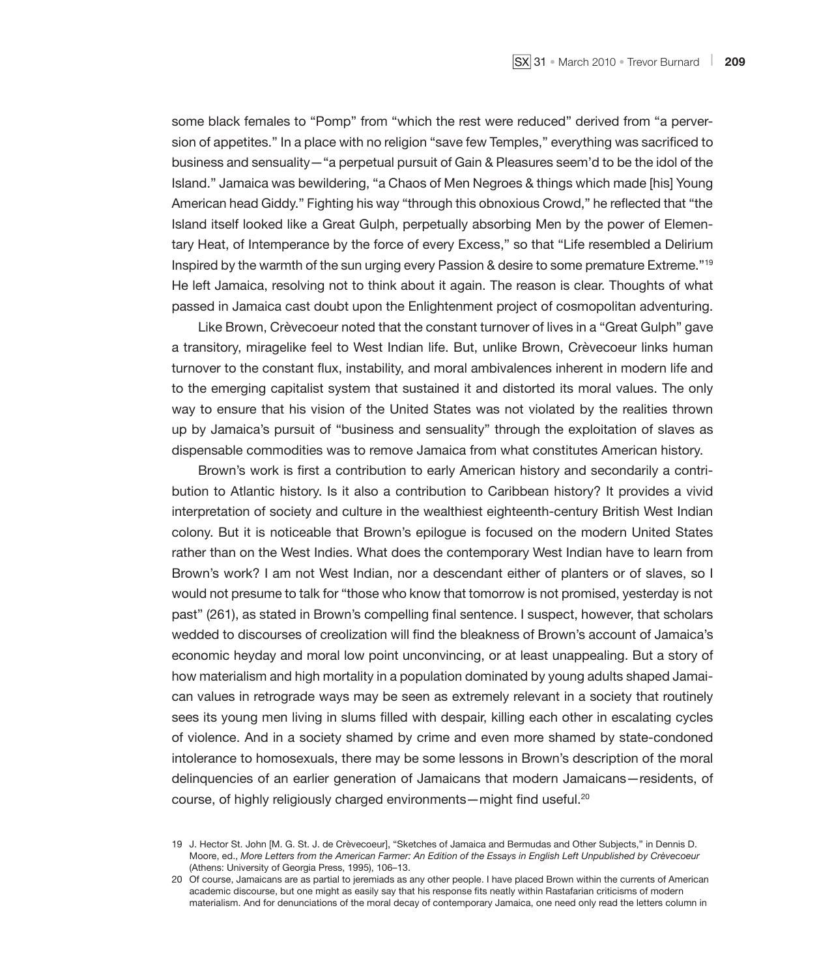some black females to "Pomp" from "which the rest were reduced" derived from "a perversion of appetites." In a place with no religion "save few Temples," everything was sacrificed to business and sensuality—"a perpetual pursuit of Gain & Pleasures seem'd to be the idol of the Island." Jamaica was bewildering, "a Chaos of Men Negroes & things which made [his] Young American head Giddy." Fighting his way "through this obnoxious Crowd," he reflected that "the Island itself looked like a Great Gulph, perpetually absorbing Men by the power of Elementary Heat, of Intemperance by the force of every Excess," so that "Life resembled a Delirium Inspired by the warmth of the sun urging every Passion & desire to some premature Extreme."<sup>19</sup> He left Jamaica, resolving not to think about it again. The reason is clear. Thoughts of what passed in Jamaica cast doubt upon the Enlightenment project of cosmopolitan adventuring.

Like Brown, Crèvecoeur noted that the constant turnover of lives in a "Great Gulph" gave a transitory, miragelike feel to West Indian life. But, unlike Brown, Crèvecoeur links human turnover to the constant flux, instability, and moral ambivalences inherent in modern life and to the emerging capitalist system that sustained it and distorted its moral values. The only way to ensure that his vision of the United States was not violated by the realities thrown up by Jamaica's pursuit of "business and sensuality" through the exploitation of slaves as dispensable commodities was to remove Jamaica from what constitutes American history.

Brown's work is first a contribution to early American history and secondarily a contribution to Atlantic history. Is it also a contribution to Caribbean history? It provides a vivid interpretation of society and culture in the wealthiest eighteenth-century British West Indian colony. But it is noticeable that Brown's epilogue is focused on the modern United States rather than on the West Indies. What does the contemporary West Indian have to learn from Brown's work? I am not West Indian, nor a descendant either of planters or of slaves, so I would not presume to talk for "those who know that tomorrow is not promised, yesterday is not past" (261), as stated in Brown's compelling final sentence. I suspect, however, that scholars wedded to discourses of creolization will find the bleakness of Brown's account of Jamaica's economic heyday and moral low point unconvincing, or at least unappealing. But a story of how materialism and high mortality in a population dominated by young adults shaped Jamaican values in retrograde ways may be seen as extremely relevant in a society that routinely sees its young men living in slums filled with despair, killing each other in escalating cycles of violence. And in a society shamed by crime and even more shamed by state-condoned intolerance to homosexuals, there may be some lessons in Brown's description of the moral delinquencies of an earlier generation of Jamaicans that modern Jamaicans—residents, of course, of highly religiously charged environments—might find useful.20

<sup>19</sup> J. Hector St. John [M. G. St. J. de Crèvecoeur], "Sketches of Jamaica and Bermudas and Other Subjects," in Dennis D. Moore, ed., *More Letters from the American Farmer: An Edition of the Essays in English Left Unpublished by Crèvecoeur* (Athens: University of Georgia Press, 1995), 106–13.

<sup>20</sup> Of course, Jamaicans are as partial to jeremiads as any other people. I have placed Brown within the currents of American academic discourse, but one might as easily say that his response fits neatly within Rastafarian criticisms of modern materialism. And for denunciations of the moral decay of contemporary Jamaica, one need only read the letters column in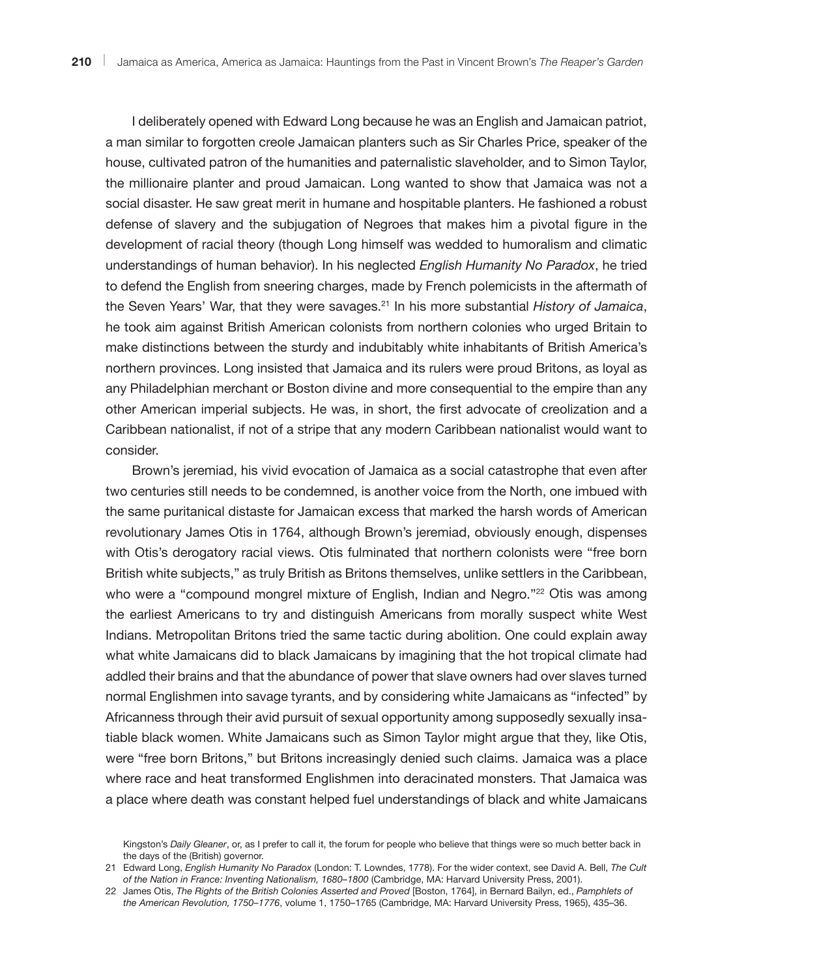I deliberately opened with Edward Long because he was an English and Jamaican patriot, a man similar to forgotten creole Jamaican planters such as Sir Charles Price, speaker of the house, cultivated patron of the humanities and paternalistic slaveholder, and to Simon Taylor, the millionaire planter and proud Jamaican. Long wanted to show that Jamaica was not a social disaster. He saw great merit in humane and hospitable planters. He fashioned a robust defense of slavery and the subjugation of Negroes that makes him a pivotal figure in the development of racial theory (though Long himself was wedded to humoralism and climatic understandings of human behavior). In his neglected *English Humanity No Paradox*, he tried to defend the English from sneering charges, made by French polemicists in the aftermath of the Seven Years' War, that they were savages.21 In his more substantial *History of Jamaica*, he took aim against British American colonists from northern colonies who urged Britain to make distinctions between the sturdy and indubitably white inhabitants of British America's northern provinces. Long insisted that Jamaica and its rulers were proud Britons, as loyal as any Philadelphian merchant or Boston divine and more consequential to the empire than any other American imperial subjects. He was, in short, the first advocate of creolization and a Caribbean nationalist, if not of a stripe that any modern Caribbean nationalist would want to consider.

Brown's jeremiad, his vivid evocation of Jamaica as a social catastrophe that even after two centuries still needs to be condemned, is another voice from the North, one imbued with the same puritanical distaste for Jamaican excess that marked the harsh words of American revolutionary James Otis in 1764, although Brown's jeremiad, obviously enough, dispenses with Otis's derogatory racial views. Otis fulminated that northern colonists were "free born British white subjects," as truly British as Britons themselves, unlike settlers in the Caribbean, who were a "compound mongrel mixture of English, Indian and Negro."<sup>22</sup> Otis was among the earliest Americans to try and distinguish Americans from morally suspect white West Indians. Metropolitan Britons tried the same tactic during abolition. One could explain away what white Jamaicans did to black Jamaicans by imagining that the hot tropical climate had addled their brains and that the abundance of power that slave owners had over slaves turned normal Englishmen into savage tyrants, and by considering white Jamaicans as "infected" by Africanness through their avid pursuit of sexual opportunity among supposedly sexually insatiable black women. White Jamaicans such as Simon Taylor might argue that they, like Otis, were "free born Britons," but Britons increasingly denied such claims. Jamaica was a place where race and heat transformed Englishmen into deracinated monsters. That Jamaica was a place where death was constant helped fuel understandings of black and white Jamaicans

Kingston's *Daily Gleaner*, or, as I prefer to call it, the forum for people who believe that things were so much better back in the days of the (British) governor.

<sup>21</sup> Edward Long, *English Humanity No Paradox* (London: T. Lowndes, 1778). For the wider context, see David A. Bell, *The Cult of the Nation in France: Inventing Nationalism, 1680–1800* (Cambridge, MA: Harvard University Press, 2001).

<sup>22</sup> James Otis, *The Rights of the British Colonies Asserted and Proved* [Boston, 1764], in Bernard Bailyn, ed., *Pamphlets of the American Revolution, 1750–1776*, volume 1, 1750–1765 (Cambridge, MA: Harvard University Press, 1965), 435–36.